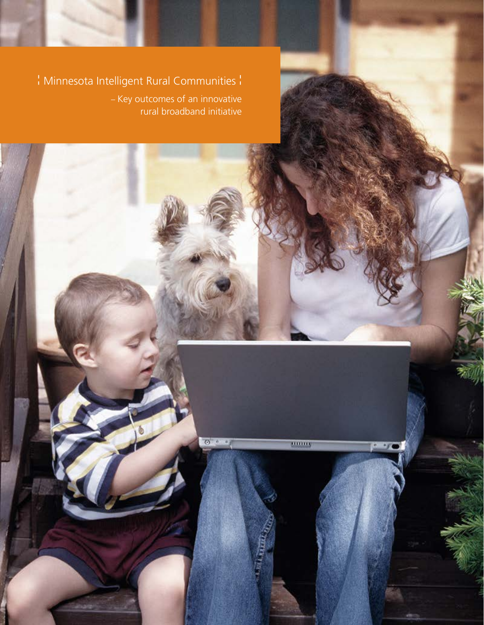¦ Minnesota Intelligent Rural Communities ¦

– Key outcomes of an innovative rural broadband initiative

 $0.10$ 

mmm,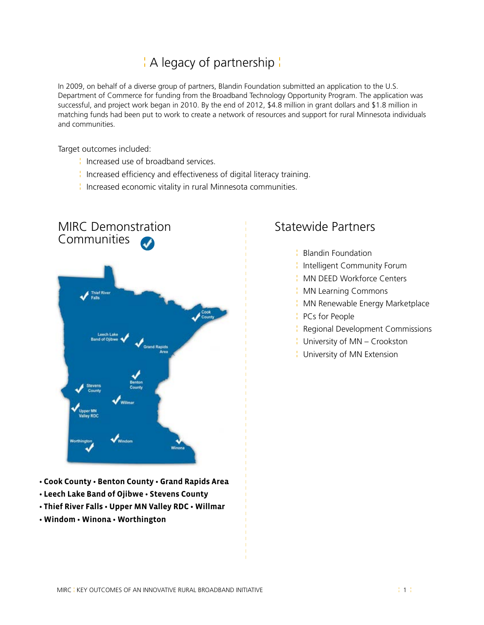# ¦ A legacy of partnership ¦

In 2009, on behalf of a diverse group of partners, Blandin Foundation submitted an application to the U.S. Department of Commerce for funding from the Broadband Technology Opportunity Program. The application was successful, and project work began in 2010. By the end of 2012, \$4.8 million in grant dollars and \$1.8 million in matching funds had been put to work to create a network of resources and support for rural Minnesota individuals and communities.

Target outcomes included:

- ¦ Increased use of broadband services.
- ¦ Increased efficiency and effectiveness of digital literacy training.
- ¦ Increased economic vitality in rural Minnesota communities.



- **Cook County Benton County Grand Rapids Area**
- **Leech Lake Band of Ojibwe Stevens County**
- **Thief River Falls Upper MN Valley RDC Willmar**
- **Windom Winona Worthington**

### Statewide Partners

- ¦ Blandin Foundation
- ¦ Intelligent Community Forum
- ¦ MN DEED Workforce Centers
- ¦ MN Learning Commons
- ¦ MN Renewable Energy Marketplace
- ¦ PCs for People
- ¦ Regional Development Commissions
- ¦ University of MN Crookston
- ¦ University of MN Extension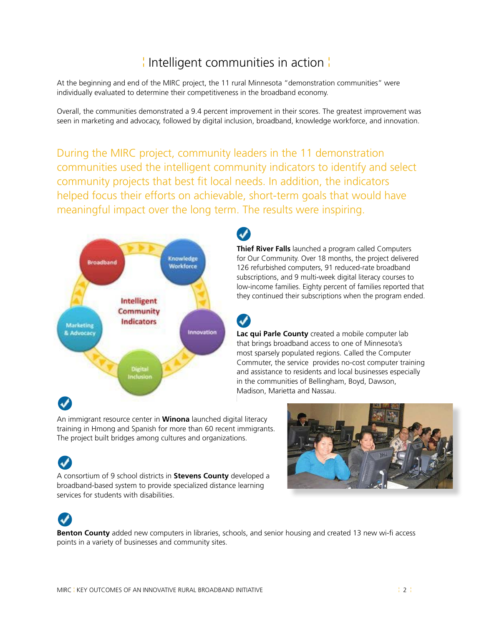# ¦ Intelligent communities in action ¦

At the beginning and end of the MIRC project, the 11 rural Minnesota "demonstration communities" were individually evaluated to determine their competitiveness in the broadband economy.

Overall, the communities demonstrated a 9.4 percent improvement in their scores. The greatest improvement was seen in marketing and advocacy, followed by digital inclusion, broadband, knowledge workforce, and innovation.

During the MIRC project, community leaders in the 11 demonstration communities used the intelligent community indicators to identify and select community projects that best fit local needs. In addition, the indicators helped focus their efforts on achievable, short-term goals that would have meaningful impact over the long term. The results were inspiring.

 $\boldsymbol{J}$ 



**Thief River Falls** launched a program called Computers for Our Community. Over 18 months, the project delivered 126 refurbished computers, 91 reduced-rate broadband subscriptions, and 9 multi-week digital literacy courses to low-income families. Eighty percent of families reported that they continued their subscriptions when the program ended.

**Lac qui Parle County** created a mobile computer lab that brings broadband access to one of Minnesota's most sparsely populated regions. Called the Computer Commuter, the service provides no-cost computer training and assistance to residents and local businesses especially in the communities of Bellingham, Boyd, Dawson, Madison, Marietta and Nassau.

An immigrant resource center in **Winona** launched digital literacy training in Hmong and Spanish for more than 60 recent immigrants. The project built bridges among cultures and organizations.

A consortium of 9 school districts in **Stevens County** developed a broadband-based system to provide specialized distance learning services for students with disabilities.





**Benton County** added new computers in libraries, schools, and senior housing and created 13 new wi-fi access points in a variety of businesses and community sites.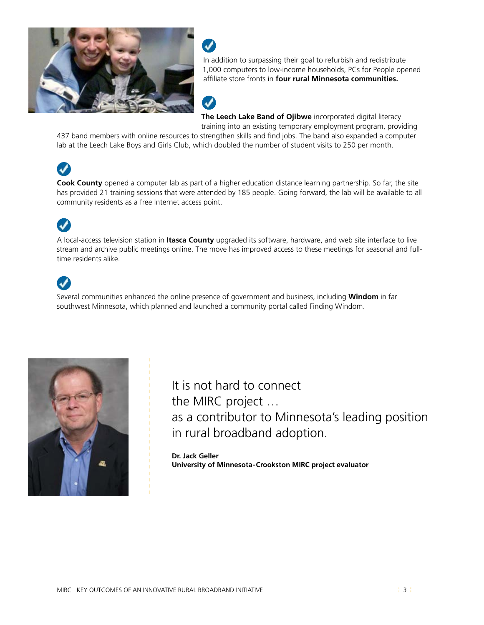



 In addition to surpassing their goal to refurbish and redistribute 1,000 computers to low-income households, PCs for People opened affiliate store fronts in **four rural Minnesota communities.** 



 **The Leech Lake Band of Ojibwe** incorporated digital literacy training into an existing temporary employment program, providing

437 band members with online resources to strengthen skills and find jobs. The band also expanded a computer lab at the Leech Lake Boys and Girls Club, which doubled the number of student visits to 250 per month.

# $\overline{\mathcal{L}}$

**Cook County** opened a computer lab as part of a higher education distance learning partnership. So far, the site has provided 21 training sessions that were attended by 185 people. Going forward, the lab will be available to all community residents as a free Internet access point.

# $\boldsymbol{J}$

A local-access television station in **Itasca County** upgraded its software, hardware, and web site interface to live stream and archive public meetings online. The move has improved access to these meetings for seasonal and fulltime residents alike.

# $\boldsymbol{J}$

Several communities enhanced the online presence of government and business, including **Windom** in far southwest Minnesota, which planned and launched a community portal called Finding Windom.



It is not hard to connect the MIRC project … as a contributor to Minnesota's leading position in rural broadband adoption.

**Dr. Jack Geller University of Minnesota - Crookston MIRC project evaluator**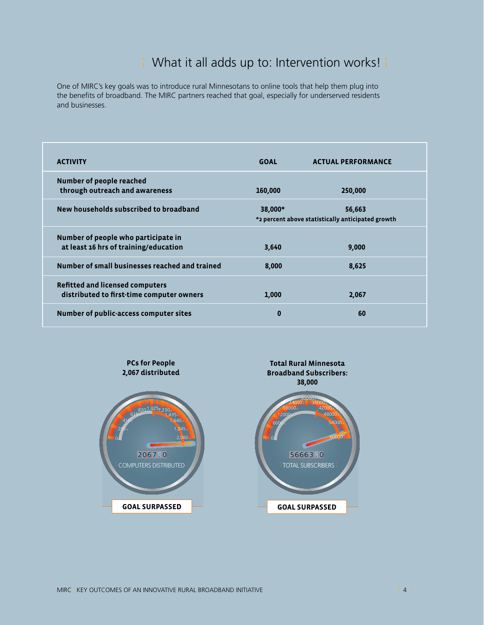## ¦ What it all adds up to: Intervention works! ¦

One of MIRC's key goals was to introduce rural Minnesotans to online tools that help them plug into the benefits of broadband. The MIRC partners reached that goal, especially for underserved residents and businesses.

| <b>ACTIVITY</b>                                                                     | <b>GOAL</b>                                                            | <b>ACTUAL PERFORMANCE</b> |  |
|-------------------------------------------------------------------------------------|------------------------------------------------------------------------|---------------------------|--|
| Number of people reached<br>through outreach and awareness                          | 160,000                                                                | 250,000                   |  |
| New households subscribed to broadband                                              | 38,000*<br>56,663<br>*2 percent above statistically anticipated growth |                           |  |
| Number of people who participate in<br>at least 16 hrs of training/education        | 3,640                                                                  | 9,000                     |  |
| Number of small businesses reached and trained                                      | 8,000                                                                  | 8,625                     |  |
| <b>Refitted and licensed computers</b><br>distributed to first-time computer owners | 1,000                                                                  | 2,067                     |  |
| Number of public-access computer sites                                              | $\bf{0}$                                                               | 60                        |  |

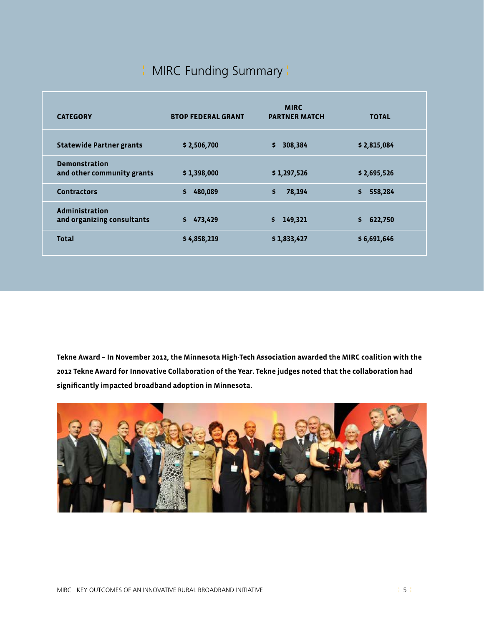# ¦ MIRC Funding Summary ¦

| <b>CATEGORY</b>                                     | <b>BTOP FEDERAL GRANT</b> | <b>MIRC</b><br><b>PARTNER MATCH</b> | <b>TOTAL</b>  |
|-----------------------------------------------------|---------------------------|-------------------------------------|---------------|
| <b>Statewide Partner grants</b>                     | \$2,506,700               | 308,384<br>\$                       | \$2,815,084   |
| <b>Demonstration</b><br>and other community grants  | \$1,398,000               | \$1,297,526                         | \$2,695,526   |
| <b>Contractors</b>                                  | \$<br>480,089             | \$<br>78,194                        | \$<br>558,284 |
| <b>Administration</b><br>and organizing consultants | \$<br>473,429             | 149,321<br>S.                       | \$<br>622,750 |
| <b>Total</b>                                        | \$4,858,219               | \$1,833,427                         | \$6,691,646   |

**Tekne Award – In November 2012, the Minnesota High-Tech Association awarded the MIRC coalition with the 2012 Tekne Award for Innovative Collaboration of the Year. Tekne judges noted that the collaboration had significantly impacted broadband adoption in Minnesota.**

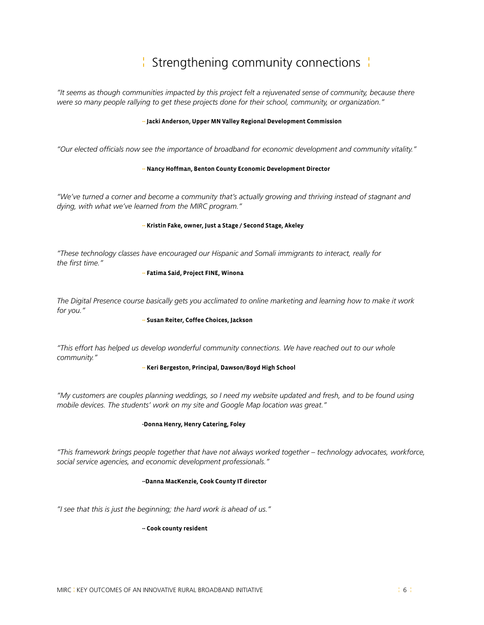# ¦ Strengthening community connections ¦

*"It seems as though communities impacted by this project felt a rejuvenated sense of community, because there were so many people rallying to get these projects done for their school, community, or organization."*

#### **-- Jacki Anderson, Upper MN Valley Regional Development Commission**

*"Our elected officials now see the importance of broadband for economic development and community vitality."* 

#### **-- Nancy Hoffman, Benton County Economic Development Director**

*"We've turned a corner and become a community that's actually growing and thriving instead of stagnant and dying, with what we've learned from the MIRC program."*

#### **-- Kristin Fake, owner, Just a Stage / Second Stage, Akeley**

*"These technology classes have encouraged our Hispanic and Somali immigrants to interact, really for the first time."*

#### **-- Fatima Said, Project FINE, Winona**

*The Digital Presence course basically gets you acclimated to online marketing and learning how to make it work for you."*

#### **-- Susan Reiter, Coffee Choices, Jackson**

*"This effort has helped us develop wonderful community connections. We have reached out to our whole community."*

#### **-- Keri Bergeston, Principal, Dawson/Boyd High School**

*"My customers are couples planning weddings, so I need my website updated and fresh, and to be found using mobile devices. The students' work on my site and Google Map location was great."*

#### **-Donna Henry, Henry Catering, Foley**

*"This framework brings people together that have not always worked together – technology advocates, workforce, social service agencies, and economic development professionals."*

#### **--Danna MacKenzie, Cook County IT director**

*"I see that this is just the beginning; the hard work is ahead of us."* 

#### **-- Cook county resident**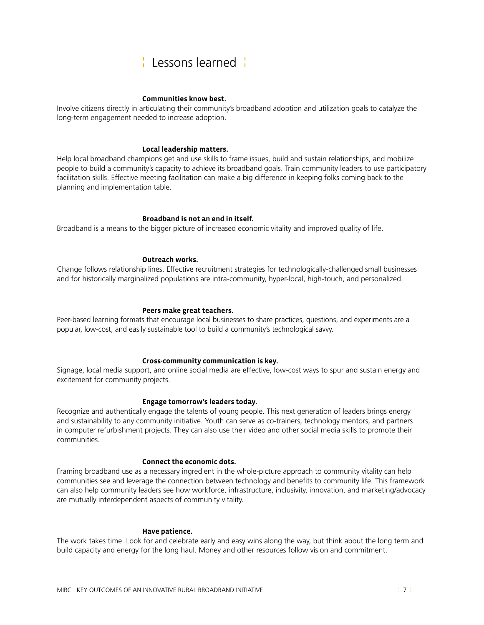## ¦ Lessons learned ¦

#### **Communities know best.**

Involve citizens directly in articulating their community's broadband adoption and utilization goals to catalyze the long-term engagement needed to increase adoption.

#### **Local leadership matters.**

Help local broadband champions get and use skills to frame issues, build and sustain relationships, and mobilize people to build a community's capacity to achieve its broadband goals. Train community leaders to use participatory facilitation skills. Effective meeting facilitation can make a big difference in keeping folks coming back to the planning and implementation table.

### **Broadband is not an end in itself.**

Broadband is a means to the bigger picture of increased economic vitality and improved quality of life.

#### **Outreach works.**

Change follows relationship lines. Effective recruitment strategies for technologically-challenged small businesses and for historically marginalized populations are intra-community, hyper-local, high-touch, and personalized.

#### **Peers make great teachers.**

Peer-based learning formats that encourage local businesses to share practices, questions, and experiments are a popular, low-cost, and easily sustainable tool to build a community's technological savvy.

#### **Cross-community communication is key.**

Signage, local media support, and online social media are effective, low-cost ways to spur and sustain energy and excitement for community projects.

### **Engage tomorrow's leaders today.**

Recognize and authentically engage the talents of young people. This next generation of leaders brings energy and sustainability to any community initiative. Youth can serve as co-trainers, technology mentors, and partners in computer refurbishment projects. They can also use their video and other social media skills to promote their communities.

#### **Connect the economic dots.**

Framing broadband use as a necessary ingredient in the whole-picture approach to community vitality can help communities see and leverage the connection between technology and benefits to community life. This framework can also help community leaders see how workforce, infrastructure, inclusivity, innovation, and marketing/advocacy are mutually interdependent aspects of community vitality.

#### **Have patience.**

The work takes time. Look for and celebrate early and easy wins along the way, but think about the long term and build capacity and energy for the long haul. Money and other resources follow vision and commitment.